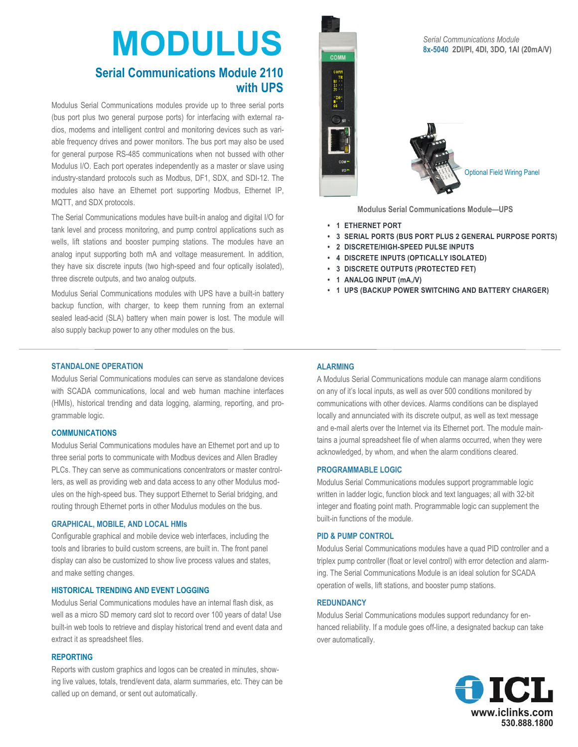# **MODULUS Serial Communications Module 2110**

# **with UPS**

Modulus Serial Communications modules provide up to three serial ports (bus port plus two general purpose ports) for interfacing with external radios, modems and intelligent control and monitoring devices such as variable frequency drives and power monitors. The bus port may also be used for general purpose RS-485 communications when not bussed with other Modulus I/O. Each port operates independently as a master or slave using industry-standard protocols such as Modbus, DF1, SDX, and SDI-12. The modules also have an Ethernet port supporting Modbus, Ethernet IP, MQTT, and SDX protocols.

The Serial Communications modules have built-in analog and digital I/O for tank level and process monitoring, and pump control applications such as wells, lift stations and booster pumping stations. The modules have an analog input supporting both mA and voltage measurement. In addition, they have six discrete inputs (two high-speed and four optically isolated), three discrete outputs, and two analog outputs.

Modulus Serial Communications modules with UPS have a built-in battery backup function, with charger, to keep them running from an external sealed lead-acid (SLA) battery when main power is lost. The module will also supply backup power to any other modules on the bus.

# COMM  $\begin{array}{cc}\n\text{comm} & \text{TR} \\
\text{B:} & \cdots \\
\text{C:} & \text{C:} \\
\text{D:} & \text{C:} \\
\text{M:} & \text{C:} \\
\text{M:} & \text{C:} \\
\text{M:} & \text{C:} \\
\text{M:} & \text{C:} \\
\text{M:} & \text{C:} \\
\text{M:} & \text{C:} \\
\text{M:} & \text{C:} \\
\text{M:} & \text{C:} \\
\text{M:} & \text{C:} \\
\text{M:} & \text{C:} \\
\text{M:} & \text{C:} \\
\text{M:} &$ Optional Field Wiring Panel

**Modulus Serial Communications Module—UPS**

- **1 ETHERNET PORT**
- **3 SERIAL PORTS (BUS PORT PLUS 2 GENERAL PURPOSE PORTS)**
- **2 DISCRETE/HIGH-SPEED PULSE INPUTS**
- **4 DISCRETE INPUTS (OPTICALLY ISOLATED)**
- **3 DISCRETE OUTPUTS (PROTECTED FET)**
- **1 ANALOG INPUT (mA,/V)**
- **1 UPS (BACKUP POWER SWITCHING AND BATTERY CHARGER)**

#### **STANDALONE OPERATION**

Modulus Serial Communications modules can serve as standalone devices with SCADA communications, local and web human machine interfaces (HMIs), historical trending and data logging, alarming, reporting, and programmable logic.

#### **COMMUNICATIONS**

Modulus Serial Communications modules have an Ethernet port and up to three serial ports to communicate with Modbus devices and Allen Bradley PLCs. They can serve as communications concentrators or master controllers, as well as providing web and data access to any other Modulus modules on the high-speed bus. They support Ethernet to Serial bridging, and routing through Ethernet ports in other Modulus modules on the bus.

#### **GRAPHICAL, MOBILE, AND LOCAL HMIs**

Configurable graphical and mobile device web interfaces, including the tools and libraries to build custom screens, are built in. The front panel display can also be customized to show live process values and states, and make setting changes.

#### **HISTORICAL TRENDING AND EVENT LOGGING**

Modulus Serial Communications modules have an internal flash disk, as well as a micro SD memory card slot to record over 100 years of data! Use built-in web tools to retrieve and display historical trend and event data and extract it as spreadsheet files.

#### **REPORTING**

Reports with custom graphics and logos can be created in minutes, showing live values, totals, trend/event data, alarm summaries, etc. They can be called up on demand, or sent out automatically.

#### **ALARMING**

A Modulus Serial Communications module can manage alarm conditions on any of it's local inputs, as well as over 500 conditions monitored by communications with other devices. Alarms conditions can be displayed locally and annunciated with its discrete output, as well as text message and e-mail alerts over the Internet via its Ethernet port. The module maintains a journal spreadsheet file of when alarms occurred, when they were acknowledged, by whom, and when the alarm conditions cleared.

#### **PROGRAMMABLE LOGIC**

Modulus Serial Communications modules support programmable logic written in ladder logic, function block and text languages; all with 32-bit integer and floating point math. Programmable logic can supplement the built-in functions of the module.

#### **PID & PUMP CONTROL**

Modulus Serial Communications modules have a quad PID controller and a triplex pump controller (float or level control) with error detection and alarming. The Serial Communications Module is an ideal solution for SCADA operation of wells, lift stations, and booster pump stations.

#### **REDUNDANCY**

Modulus Serial Communications modules support redundancy for enhanced reliability. If a module goes off-line, a designated backup can take over automatically.



#### *Serial Communications Module*  **8x-5040 2DI/PI, 4DI, 3DO, 1AI (20mA/V)**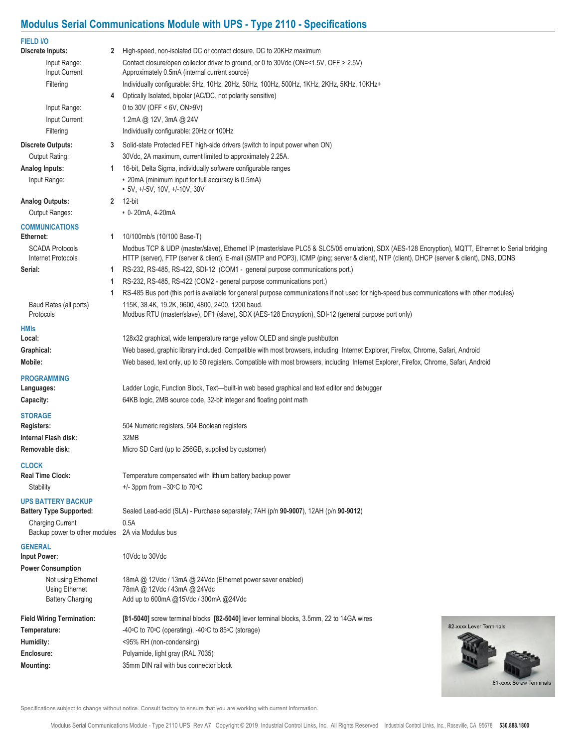## **Modulus Serial Communications Module with UPS - Type 2110 - Specifications**

| <b>FIELD I/O</b>                          |                                                                                                                                                          |  |  |  |  |  |
|-------------------------------------------|----------------------------------------------------------------------------------------------------------------------------------------------------------|--|--|--|--|--|
| Discrete Inputs:                          | High-speed, non-isolated DC or contact closure, DC to 20KHz maximum<br>$\mathbf{2}$                                                                      |  |  |  |  |  |
| Input Range:<br>Input Current:            | Contact closure/open collector driver to ground, or 0 to 30Vdc (ON=<1.5V, OFF > 2.5V)<br>Approximately 0.5mA (internal current source)                   |  |  |  |  |  |
| Filtering                                 | Individually configurable: 5Hz, 10Hz, 20Hz, 50Hz, 100Hz, 500Hz, 1KHz, 2KHz, 5KHz, 10KHz+                                                                 |  |  |  |  |  |
|                                           | Optically Isolated, bipolar (AC/DC, not polarity sensitive)<br>4                                                                                         |  |  |  |  |  |
| Input Range:                              | 0 to 30V (OFF < 6V, ON>9V)                                                                                                                               |  |  |  |  |  |
| Input Current:                            | 1.2mA @ 12V, 3mA @ 24V                                                                                                                                   |  |  |  |  |  |
| Filtering                                 | Individually configurable: 20Hz or 100Hz                                                                                                                 |  |  |  |  |  |
| <b>Discrete Outputs:</b>                  | Solid-state Protected FET high-side drivers (switch to input power when ON)<br>3                                                                         |  |  |  |  |  |
| Output Rating:                            | 30Vdc, 2A maximum, current limited to approximately 2.25A.                                                                                               |  |  |  |  |  |
| Analog Inputs:                            | 16-bit, Delta Sigma, individually software configurable ranges<br>1.                                                                                     |  |  |  |  |  |
| Input Range:                              | • 20mA (minimum input for full accuracy is 0.5mA)<br>• 5V, +/-5V, 10V, +/-10V, 30V                                                                       |  |  |  |  |  |
| <b>Analog Outputs:</b>                    | 2 12-bit                                                                                                                                                 |  |  |  |  |  |
| Output Ranges:                            | • 0-20mA, 4-20mA                                                                                                                                         |  |  |  |  |  |
| <b>COMMUNICATIONS</b>                     |                                                                                                                                                          |  |  |  |  |  |
| Ethernet:                                 | 10/100mb/s (10/100 Base-T)<br>$\mathbf{1}$                                                                                                               |  |  |  |  |  |
| <b>SCADA Protocols</b>                    | Modbus TCP & UDP (master/slave), Ethernet IP (master/slave PLC5 & SLC5/05 emulation), SDX (AES-128 Encryption), MQTT, Ethernet to Serial bridging        |  |  |  |  |  |
| Internet Protocols                        | HTTP (server), FTP (server & client), E-mail (SMTP and POP3), ICMP (ping; server & client), NTP (client), DHCP (server & client), DNS, DDNS              |  |  |  |  |  |
| Serial:                                   | RS-232, RS-485, RS-422, SDI-12 (COM1 - general purpose communications port.)<br>1.                                                                       |  |  |  |  |  |
|                                           | RS-232, RS-485, RS-422 (COM2 - general purpose communications port.)<br>1                                                                                |  |  |  |  |  |
|                                           | RS-485 Bus port (this port is available for general purpose communications if not used for high-speed bus communications with other modules)<br>1.       |  |  |  |  |  |
| Baud Rates (all ports)<br>Protocols       | 115K, 38.4K, 19.2K, 9600, 4800, 2400, 1200 baud.<br>Modbus RTU (master/slave), DF1 (slave), SDX (AES-128 Encryption), SDI-12 (general purpose port only) |  |  |  |  |  |
| <b>HMIs</b>                               |                                                                                                                                                          |  |  |  |  |  |
| Local:                                    | 128x32 graphical, wide temperature range yellow OLED and single pushbutton                                                                               |  |  |  |  |  |
| Graphical:                                | Web based, graphic library included. Compatible with most browsers, including Internet Explorer, Firefox, Chrome, Safari, Android                        |  |  |  |  |  |
| Mobile:                                   | Web based, text only, up to 50 registers. Compatible with most browsers, including Internet Explorer, Firefox, Chrome, Safari, Android                   |  |  |  |  |  |
| <b>PROGRAMMING</b>                        |                                                                                                                                                          |  |  |  |  |  |
| Languages:                                | Ladder Logic, Function Block, Text—built-in web based graphical and text editor and debugger                                                             |  |  |  |  |  |
| Capacity:                                 | 64KB logic, 2MB source code, 32-bit integer and floating point math                                                                                      |  |  |  |  |  |
| <b>STORAGE</b>                            |                                                                                                                                                          |  |  |  |  |  |
| Registers:                                | 504 Numeric registers, 504 Boolean registers                                                                                                             |  |  |  |  |  |
| Internal Flash disk:                      | 32MB                                                                                                                                                     |  |  |  |  |  |
| Removable disk:                           | Micro SD Card (up to 256GB, supplied by customer)                                                                                                        |  |  |  |  |  |
| <b>CLOCK</b>                              |                                                                                                                                                          |  |  |  |  |  |
| <b>Real Time Clock:</b>                   | Temperature compensated with lithium battery backup power                                                                                                |  |  |  |  |  |
| Stability                                 | $+/-$ 3ppm from $-30\degree$ C to 70 $\degree$ C                                                                                                         |  |  |  |  |  |
| <b>UPS BATTERY BACKUP</b>                 |                                                                                                                                                          |  |  |  |  |  |
| <b>Battery Type Supported:</b>            | Sealed Lead-acid (SLA) - Purchase separately; 7AH (p/n 90-9007), 12AH (p/n 90-9012)                                                                      |  |  |  |  |  |
| <b>Charging Current</b>                   | 0.5A                                                                                                                                                     |  |  |  |  |  |
| Backup power to other modules             | 2A via Modulus bus                                                                                                                                       |  |  |  |  |  |
| <b>GENERAL</b>                            |                                                                                                                                                          |  |  |  |  |  |
| Input Power:                              | 10Vdc to 30Vdc                                                                                                                                           |  |  |  |  |  |
| <b>Power Consumption</b>                  |                                                                                                                                                          |  |  |  |  |  |
| Not using Ethernet                        | 18mA @ 12Vdc / 13mA @ 24Vdc (Ethernet power saver enabled)                                                                                               |  |  |  |  |  |
| Using Ethernet<br><b>Battery Charging</b> | 78mA @ 12Vdc / 43mA @ 24Vdc<br>Add up to 600mA @15Vdc / 300mA @24Vdc                                                                                     |  |  |  |  |  |
|                                           |                                                                                                                                                          |  |  |  |  |  |
| <b>Field Wiring Termination:</b>          | [81-5040] screw terminal blocks [82-5040] lever terminal blocks, 3.5mm, 22 to 14GA wires                                                                 |  |  |  |  |  |
| Temperature:                              | 82-xxxx Lever Terminals<br>-40°C to 70°C (operating), -40°C to 85°C (storage)                                                                            |  |  |  |  |  |
| Humidity:                                 | <95% RH (non-condensing)                                                                                                                                 |  |  |  |  |  |
| Enclosure:                                | Polyamide, light gray (RAL 7035)                                                                                                                         |  |  |  |  |  |
| Mounting:                                 | 35mm DIN rail with bus connector block                                                                                                                   |  |  |  |  |  |
|                                           | 81-xxxx Screw Terminals                                                                                                                                  |  |  |  |  |  |
|                                           |                                                                                                                                                          |  |  |  |  |  |

Specifications subject to change without notice. Consult factory to ensure that you are working with current information.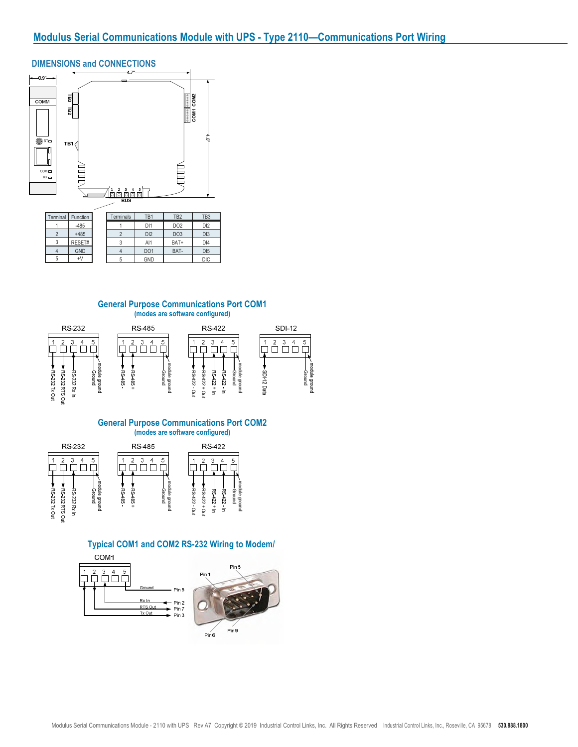## DIMENSIONS and CONNECTIONS



| 1511111111 1a 1 | uncuon     | 1 YUU 111 1 YU 2 | .               | .               | .               |
|-----------------|------------|------------------|-----------------|-----------------|-----------------|
|                 | $-485$     |                  | D <sub>1</sub>  | DO <sub>2</sub> | D <sub>12</sub> |
|                 | $+485$     |                  | D <sub>12</sub> | DO <sub>3</sub> | DI3             |
| J               | RESET#     |                  | Al1             | BAT+            | D <sub>14</sub> |
| 4               | <b>GND</b> |                  | DO <sub>1</sub> | BAT-            | D <sub>15</sub> |
| 5               | ÷٧         |                  | <b>GND</b>      |                 | <b>DIC</b>      |

#### **General Purpose Communications Port COM1 (modes are software configured)**



# **General Purpose Communications Port COM2**



#### **Typical COM1 and COM2 RS-232 Wiring to Modem/**

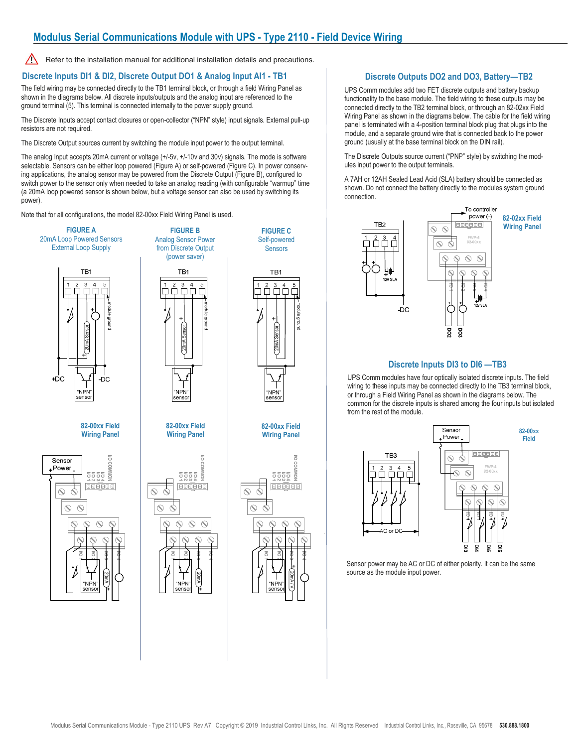### **Modulus Serial Communications Module with UPS - Type 2110 - Field Device Wiring**

∧ Refer to the installation manual for additional installation details and precautions.

#### **Discrete Inputs DI1 & DI2, Discrete Output DO1 & Analog Input AI1 - TB1**

The field wiring may be connected directly to the TB1 terminal block, or through a field Wiring Panel as shown in the diagrams below. All discrete inputs/outputs and the analog input are referenced to the ground terminal (5). This terminal is connected internally to the power supply ground.

The Discrete Inputs accept contact closures or open-collector ("NPN" style) input signals. External pull-up resistors are not required.

The Discrete Output sources current by switching the module input power to the output terminal.

The analog Input accepts 20mA current or voltage (+/-5v, +/-10v and 30v) signals. The mode is software selectable. Sensors can be either loop powered (Figure A) or self-powered (Figure C). In power conserving applications, the analog sensor may be powered from the Discrete Output (Figure B), configured to switch power to the sensor only when needed to take an analog reading (with configurable "warmup" time (a 20mA loop powered sensor is shown below, but a voltage sensor can also be used by switching its power).

Note that for all configurations, the model 82-00xx Field Wiring Panel is used.



#### **Discrete Outputs DO2 and DO3, Battery—TB2**

UPS Comm modules add two FET discrete outputs and battery backup functionality to the base module. The field wiring to these outputs may be connected directly to the TB2 terminal block, or through an 82-02xx Field Wiring Panel as shown in the diagrams below. The cable for the field wiring panel is terminated with a 4-position terminal block plug that plugs into the module, and a separate ground wire that is connected back to the power ground (usually at the base terminal block on the DIN rail).

The Discrete Outputs source current ("PNP" style) by switching the modules input power to the output terminals.

A 7AH or 12AH Sealed Lead Acid (SLA) battery should be connected as shown. Do not connect the battery directly to the modules system ground connection.



#### **Discrete Inputs DI3 to DI6 —TB3**

UPS Comm modules have four optically isolated discrete inputs. The field wiring to these inputs may be connected directly to the TB3 terminal block. or through a Field Wiring Panel as shown in the diagrams below. The common for the discrete inputs is shared among the four inputs but isolated from the rest of the module.



Sensor power may be AC or DC of either polarity. It can be the same source as the module input power.